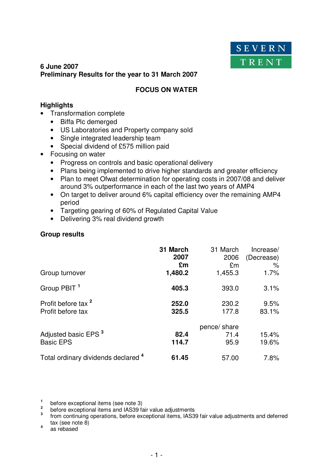

# **6 June 2007 Preliminary Results for the year to 31 March 2007**

# **FOCUS ON WATER**

# **Highlights**

- Transformation complete
	- Biffa Plc demerged
	- US Laboratories and Property company sold
	- Single integrated leadership team
	- Special dividend of £575 million paid
- Focusing on water
	- Progress on controls and basic operational delivery
	- Plans being implemented to drive higher standards and greater efficiency
	- Plan to meet Ofwat determination for operating costs in 2007/08 and deliver around 3% outperformance in each of the last two years of AMP4
	- On target to deliver around 6% capital efficiency over the remaining AMP4 period
	- Targeting gearing of 60% of Regulated Capital Value
	- Delivering 3% real dividend growth

# **Group results**

| Group turnover                                      | 31 March<br>2007<br>£m<br>1,480.2 | 31 March<br>2006<br>£m<br>1,455.3 | Increase/<br>(Decrease)<br>%<br>1.7% |
|-----------------------------------------------------|-----------------------------------|-----------------------------------|--------------------------------------|
| Group PBIT <sup>1</sup>                             | 405.3                             | 393.0                             | 3.1%                                 |
| Profit before tax <sup>2</sup><br>Profit before tax | 252.0<br>325.5                    | 230.2<br>177.8                    | 9.5%<br>83.1%                        |
| Adjusted basic EPS <sup>3</sup><br><b>Basic EPS</b> | 82.4<br>114.7                     | pence/ share<br>71.4<br>95.9      | 15.4%<br>19.6%                       |
| Total ordinary dividends declared 4                 | 61.45                             | 57.00                             | 7.8%                                 |

<sup>1</sup> before exceptional items (see note 3)

<sup>2</sup> before exceptional items and IAS39 fair value adjustments<br><sup>3</sup> from continuing operations, before exceptional items, IAS39 fair value adjustments and deferred tax (see note 8)

**4** as rebased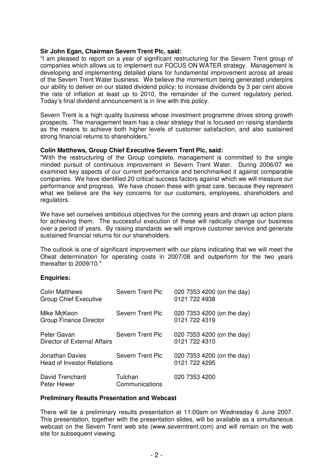### **Sir John Egan, Chairman Severn Trent Plc, said:**

"I am pleased to report on a year of significant restructuring for the Severn Trent group of companies which allows us to implement our FOCUS ON WATER strategy. Management is developing and implementing detailed plans for fundamental improvement across all areas of the Severn Trent Water business. We believe the momentum being generated underpins our ability to deliver on our stated dividend policy; to increase dividends by 3 per cent above the rate of inflation at least up to 2010, the remainder of the current regulatory period. Today's final dividend announcement is in line with this policy.

Severn Trent is a high quality business whose investment programme drives strong growth prospects. The management team has a clear strategy that is focused on raising standards as the means to achieve both higher levels of customer satisfaction, and also sustained strong financial returns to shareholders."

### **Colin Matthews, Group Chief Executive Severn Trent Plc, said:**

"With the restructuring of the Group complete, management is committed to the single minded pursuit of continuous improvement in Severn Trent Water. During 2006/07 we examined key aspects of our current performance and benchmarked it against comparable companies. We have identified 20 critical success factors against which we will measure our performance and progress. We have chosen these with great care, because they represent what we believe are the key concerns for our customers, employees, shareholders and regulators.

We have set ourselves ambitious objectives for the coming years and drawn up action plans for achieving them. The successful execution of these will radically change our business over a period of years. By raising standards we will improve customer service and generate sustained financial returns for our shareholders.

The outlook is one of significant improvement with our plans indicating that we will meet the Ofwat determination for operating costs in 2007/08 and outperform for the two years thereafter to 2009/10."

### **Enquiries:**

| <b>Colin Matthews</b><br><b>Group Chief Executive</b> | <b>Severn Trent Plc</b>   | 020 7353 4200 (on the day)<br>0121 722 4938 |
|-------------------------------------------------------|---------------------------|---------------------------------------------|
| Mike McKeon<br>Group Finance Director                 | Severn Trent Plc          | 020 7353 4200 (on the day)<br>0121 722 4319 |
| Peter Gavan<br>Director of External Affairs           | Severn Trent Plc          | 020 7353 4200 (on the day)<br>0121 722 4310 |
| Jonathan Davies<br><b>Head of Investor Relations</b>  | <b>Severn Trent Plc</b>   | 020 7353 4200 (on the day)<br>0121 722 4295 |
| David Trenchard<br>Peter Hewer                        | Tulchan<br>Communications | 020 7353 4200                               |

### **Preliminary Results Presentation and Webcast**

There will be a preliminary results presentation at 11:00am on Wednesday 6 June 2007. This presentation, together with the presentation slides, will be available as a simultaneous webcast on the Severn Trent web site (www.severntrent.com) and will remain on the web site for subsequent viewing.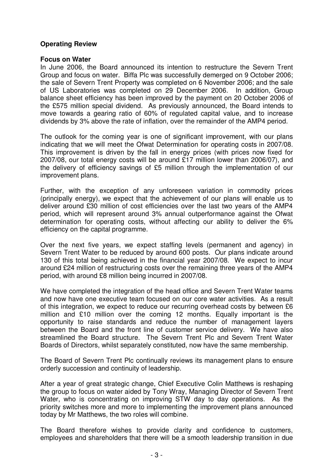# **Operating Review**

## **Focus on Water**

In June 2006, the Board announced its intention to restructure the Severn Trent Group and focus on water. Biffa Plc was successfully demerged on 9 October 2006; the sale of Severn Trent Property was completed on 6 November 2006; and the sale of US Laboratories was completed on 29 December 2006. In addition, Group balance sheet efficiency has been improved by the payment on 20 October 2006 of the £575 million special dividend. As previously announced, the Board intends to move towards a gearing ratio of 60% of regulated capital value, and to increase dividends by 3% above the rate of inflation, over the remainder of the AMP4 period.

The outlook for the coming year is one of significant improvement, with our plans indicating that we will meet the Ofwat Determination for operating costs in 2007/08. This improvement is driven by the fall in energy prices (with prices now fixed for 2007/08, our total energy costs will be around £17 million lower than 2006/07), and the delivery of efficiency savings of £5 million through the implementation of our improvement plans.

Further, with the exception of any unforeseen variation in commodity prices (principally energy), we expect that the achievement of our plans will enable us to deliver around £30 million of cost efficiencies over the last two years of the AMP4 period, which will represent around 3% annual outperformance against the Ofwat determination for operating costs, without affecting our ability to deliver the 6% efficiency on the capital programme.

Over the next five years, we expect staffing levels (permanent and agency) in Severn Trent Water to be reduced by around 600 posts. Our plans indicate around 130 of this total being achieved in the financial year 2007/08. We expect to incur around £24 million of restructuring costs over the remaining three years of the AMP4 period, with around £8 million being incurred in 2007/08.

We have completed the integration of the head office and Severn Trent Water teams and now have one executive team focused on our core water activities. As a result of this integration, we expect to reduce our recurring overhead costs by between £6 million and £10 million over the coming 12 months. Equally important is the opportunity to raise standards and reduce the number of management layers between the Board and the front line of customer service delivery. We have also streamlined the Board structure. The Severn Trent Plc and Severn Trent Water Boards of Directors, whilst separately constituted, now have the same membership.

The Board of Severn Trent Plc continually reviews its management plans to ensure orderly succession and continuity of leadership.

After a year of great strategic change, Chief Executive Colin Matthews is reshaping the group to focus on water aided by Tony Wray, Managing Director of Severn Trent Water, who is concentrating on improving STW day to day operations. As the priority switches more and more to implementing the improvement plans announced today by Mr Matthews, the two roles will combine.

The Board therefore wishes to provide clarity and confidence to customers, employees and shareholders that there will be a smooth leadership transition in due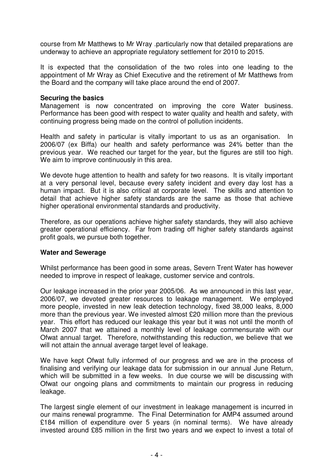course from Mr Matthews to Mr Wray .particularly now that detailed preparations are underway to achieve an appropriate regulatory settlement for 2010 to 2015.

It is expected that the consolidation of the two roles into one leading to the appointment of Mr Wray as Chief Executive and the retirement of Mr Matthews from the Board and the company will take place around the end of 2007.

## **Securing the basics**

Management is now concentrated on improving the core Water business. Performance has been good with respect to water quality and health and safety, with continuing progress being made on the control of pollution incidents.

Health and safety in particular is vitally important to us as an organisation. In 2006/07 (ex Biffa) our health and safety performance was 24% better than the previous year. We reached our target for the year, but the figures are still too high. We aim to improve continuously in this area.

We devote huge attention to health and safety for two reasons. It is vitally important at a very personal level, because every safety incident and every day lost has a human impact. But it is also critical at corporate level. The skills and attention to detail that achieve higher safety standards are the same as those that achieve higher operational environmental standards and productivity.

Therefore, as our operations achieve higher safety standards, they will also achieve greater operational efficiency. Far from trading off higher safety standards against profit goals, we pursue both together.

## **Water and Sewerage**

Whilst performance has been good in some areas, Severn Trent Water has however needed to improve in respect of leakage, customer service and controls.

Our leakage increased in the prior year 2005/06. As we announced in this last year, 2006/07, we devoted greater resources to leakage management. We employed more people, invested in new leak detection technology, fixed 38,000 leaks, 8,000 more than the previous year. We invested almost £20 million more than the previous year. This effort has reduced our leakage this year but it was not until the month of March 2007 that we attained a monthly level of leakage commensurate with our Ofwat annual target. Therefore, notwithstanding this reduction, we believe that we will not attain the annual average target level of leakage.

We have kept Ofwat fully informed of our progress and we are in the process of finalising and verifying our leakage data for submission in our annual June Return, which will be submitted in a few weeks. In due course we will be discussing with Ofwat our ongoing plans and commitments to maintain our progress in reducing leakage.

The largest single element of our investment in leakage management is incurred in our mains renewal programme. The Final Determination for AMP4 assumed around £184 million of expenditure over 5 years (in nominal terms). We have already invested around £85 million in the first two years and we expect to invest a total of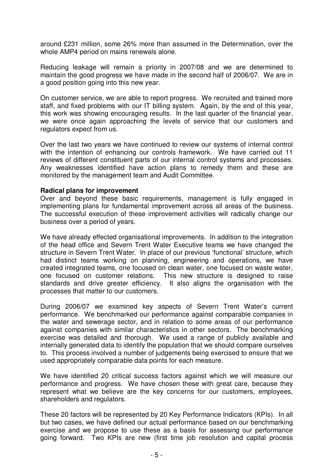around £231 million, some 26% more than assumed in the Determination, over the whole AMP4 period on mains renewals alone.

Reducing leakage will remain a priority in 2007/08 and we are determined to maintain the good progress we have made in the second half of 2006/07. We are in a good position going into this new year.

On customer service, we are able to report progress. We recruited and trained more staff, and fixed problems with our IT billing system. Again, by the end of this year, this work was showing encouraging results. In the last quarter of the financial year, we were once again approaching the levels of service that our customers and regulators expect from us.

Over the last two years we have continued to review our systems of internal control with the intention of enhancing our controls framework. We have carried out 11 reviews of different constituent parts of our internal control systems and processes. Any weaknesses identified have action plans to remedy them and these are monitored by the management team and Audit Committee.

## **Radical plans for improvement**

Over and beyond these basic requirements, management is fully engaged in implementing plans for fundamental improvement across all areas of the business. The successful execution of these improvement activities will radically change our business over a period of years.

We have already effected organisational improvements. In addition to the integration of the head office and Severn Trent Water Executive teams we have changed the structure in Severn Trent Water. In place of our previous 'functional' structure, which had distinct teams working on planning, engineering and operations, we have created integrated teams, one focused on clean water, one focused on waste water, one focused on customer relations. This new structure is designed to raise standards and drive greater efficiency. It also aligns the organisation with the processes that matter to our customers.

During 2006/07 we examined key aspects of Severn Trent Water's current performance. We benchmarked our performance against comparable companies in the water and sewerage sector, and in relation to some areas of our performance against companies with similar characteristics in other sectors. The benchmarking exercise was detailed and thorough. We used a range of publicly available and internally generated data to identify the population that we should compare ourselves to. This process involved a number of judgements being exercised to ensure that we used appropriately comparable data points for each measure.

We have identified 20 critical success factors against which we will measure our performance and progress. We have chosen these with great care, because they represent what we believe are the key concerns for our customers, employees, shareholders and regulators.

These 20 factors will be represented by 20 Key Performance Indicators (KPIs). In all but two cases, we have defined our actual performance based on our benchmarking exercise and we propose to use these as a basis for assessing our performance going forward. Two KPIs are new (first time job resolution and capital process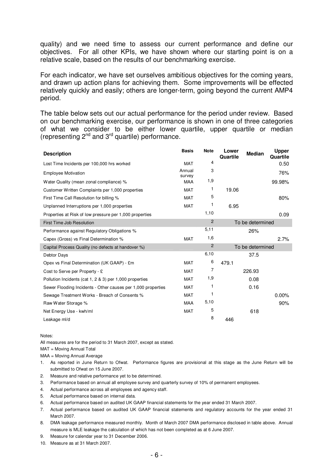quality) and we need time to assess our current performance and define our objectives. For all other KPIs, we have shown where our starting point is on a relative scale, based on the results of our benchmarking exercise.

For each indicator, we have set ourselves ambitious objectives for the coming years, and drawn up action plans for achieving them. Some improvements will be effected relatively quickly and easily; others are longer-term, going beyond the current AMP4 period.

The table below sets out our actual performance for the period under review. Based on our benchmarking exercise, our performance is shown in one of three categories of what we consider to be either lower quartile, upper quartile or median (representing 2<sup>nd</sup> and 3<sup>rd</sup> quartile) performance.

| <b>Description</b>                                           | <b>Basis</b>     | <b>Note</b>    | Lower<br>Quartile | <b>Median</b>    | <b>Upper</b><br>Quartile |
|--------------------------------------------------------------|------------------|----------------|-------------------|------------------|--------------------------|
| Lost Time Incidents per 100,000 hrs worked                   | <b>MAT</b>       | 4              |                   |                  | 0.50                     |
| <b>Employee Motivation</b>                                   | Annual<br>survey | 3              |                   |                  | 76%                      |
| Water Quality (mean zonal compliance) %                      | <b>MAA</b>       | 1,9            |                   |                  | 99.98%                   |
| Customer Written Complaints per 1,000 properties             | <b>MAT</b>       | 1              | 19.06             |                  |                          |
| First Time Call Resolution for billing %                     | <b>MAT</b>       | 5              |                   |                  | 80%                      |
| Unplanned Interruptions per 1,000 properties                 | <b>MAT</b>       |                | 6.95              |                  |                          |
| Properties at Risk of low pressure per 1,000 properties      |                  | 1,10           |                   |                  | 0.09                     |
| First Time Job Resolution                                    |                  | $\overline{2}$ |                   | To be determined |                          |
| Performance against Regulatory Obligations %                 |                  | 5,11           |                   | 26%              |                          |
| Capex (Gross) vs Final Determination %                       | <b>MAT</b>       | 1,6            |                   |                  | 2.7%                     |
| Capital Process Quality (no defects at handover %)           |                  | $\overline{2}$ |                   | To be determined |                          |
| Debtor Days                                                  |                  | 6,10           |                   | 37.5             |                          |
| Opex vs Final Determination (UK GAAP) - £m                   | MAT              | 6              | 479.1             |                  |                          |
| Cost to Serve per Property - £                               | <b>MAT</b>       | 7              |                   | 226.93           |                          |
| Pollution Incidents (cat 1, 2 & 3) per 1,000 properties      | <b>MAT</b>       | 1,9            |                   | 0.08             |                          |
| Sewer Flooding Incidents - Other causes per 1,000 properties | MAT              |                |                   | 0.16             |                          |
| Sewage Treatment Works - Breach of Consents %                | <b>MAT</b>       | 1              |                   |                  | $0.00\%$                 |
| Raw Water Storage %                                          | <b>MAA</b>       | 5,10           |                   |                  | 90%                      |
| Net Energy Use - kwh/ml                                      | <b>MAT</b>       | 5              |                   | 618              |                          |
| Leakage ml/d                                                 |                  | 8              | 446               |                  |                          |

Notes:

All measures are for the period to 31 March 2007, except as stated.

MAT = Moving Annual Total

MAA = Moving Annual Average

- 1. As reported in June Return to Ofwat. Performance figures are provisional at this stage as the June Return will be submitted to Ofwat on 15 June 2007.
- 2. Measure and relative performance yet to be determined.
- 3. Performance based on annual all employee survey and quarterly survey of 10% of permanent employees.
- 4. Actual performance across all employees and agency staff.
- 5. Actual performance based on internal data.
- 6. Actual performance based on audited UK GAAP financial statements for the year ended 31 March 2007.
- 7. Actual performance based on audited UK GAAP financial statements and regulatory accounts for the year ended 31 March 2007.
- 8. DMA leakage performance measured monthly. Month of March 2007 DMA performance disclosed in table above. Annual measure is MLE leakage the calculation of which has not been completed as at 6 June 2007.
- 9. Measure for calendar year to 31 December 2006.
- 10. Measure as at 31 March 2007.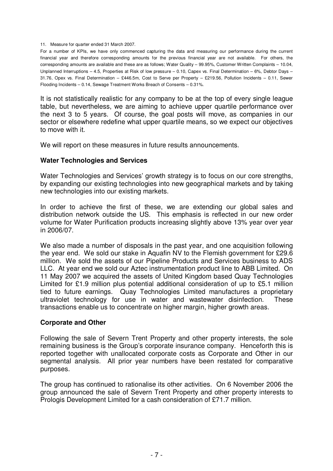11. Measure for quarter ended 31 March 2007.

For a number of KPIs, we have only commenced capturing the data and measuring our performance during the current financial year and therefore corresponding amounts for the previous financial year are not available. For others, the corresponding amounts are available and these are as follows; Water Quality – 99.95%, Customer Written Complaints – 10.04, Unplanned Interruptions – 4.5, Properties at Risk of low pressure – 0.10, Capex vs. Final Determination – 6%, Debtor Days – 31.76, Opex vs. Final Determination – £446.5m, Cost to Serve per Property – £219.56, Pollution Incidents – 0.11, Sewer Flooding Incidents – 0.14, Sewage Treatment Works Breach of Consents – 0.31%.

It is not statistically realistic for any company to be at the top of every single league table, but nevertheless, we are aiming to achieve upper quartile performance over the next 3 to 5 years. Of course, the goal posts will move, as companies in our sector or elsewhere redefine what upper quartile means, so we expect our objectives to move with it.

We will report on these measures in future results announcements.

## **Water Technologies and Services**

Water Technologies and Services' growth strategy is to focus on our core strengths, by expanding our existing technologies into new geographical markets and by taking new technologies into our existing markets.

In order to achieve the first of these, we are extending our global sales and distribution network outside the US. This emphasis is reflected in our new order volume for Water Purification products increasing slightly above 13% year over year in 2006/07.

We also made a number of disposals in the past year, and one acquisition following the year end. We sold our stake in Aquafin NV to the Flemish government for £29.6 million. We sold the assets of our Pipeline Products and Services business to ADS LLC. At year end we sold our Aztec instrumentation product line to ABB Limited. On 11 May 2007 we acquired the assets of United Kingdom based Quay Technologies Limited for £1.9 million plus potential additional consideration of up to £5.1 million tied to future earnings. Quay Technologies Limited manufactures a proprietary ultraviolet technology for use in water and wastewater disinfection. These transactions enable us to concentrate on higher margin, higher growth areas.

## **Corporate and Other**

Following the sale of Severn Trent Property and other property interests, the sole remaining business is the Group's corporate insurance company. Henceforth this is reported together with unallocated corporate costs as Corporate and Other in our segmental analysis. All prior year numbers have been restated for comparative purposes.

The group has continued to rationalise its other activities. On 6 November 2006 the group announced the sale of Severn Trent Property and other property interests to Prologis Development Limited for a cash consideration of £71.7 million.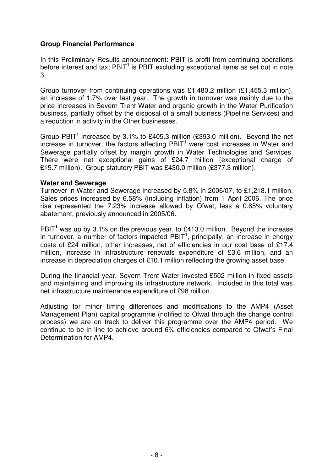# **Group Financial Performance**

In this Preliminary Results announcement: PBIT is profit from continuing operations before interest and tax; PBIT **1** is PBIT excluding exceptional items as set out in note 3.

Group turnover from continuing operations was £1,480.2 million (£1,455.3 million), an increase of 1.7% over last year. The growth in turnover was mainly due to the price increases in Severn Trent Water and organic growth in the Water Purification business, partially offset by the disposal of a small business (Pipeline Services) and a reduction in activity in the Other businesses.

Group PBIT<sup>1</sup> increased by 3.1% to £405.3 million (£393.0 million). Beyond the net increase in turnover, the factors affecting PBIT **<sup>1</sup>** were cost increases in Water and Sewerage partially offset by margin growth in Water Technologies and Services. There were net exceptional gains of £24.7 million (exceptional charge of £15.7 million). Group statutory PBIT was £430.0 million (£377.3 million).

## **Water and Sewerage**

Turnover in Water and Sewerage increased by 5.8% in 2006/07, to £1,218.1 million. Sales prices increased by 6.58% (including inflation) from 1 April 2006. The price rise represented the 7.23% increase allowed by Ofwat, less a 0.65% voluntary abatement, previously announced in 2005/06.

PBIT<sup>1</sup> was up by 3.1% on the previous year, to £413.0 million. Beyond the increase in turnover, a number of factors impacted PBIT **1** , principally; an increase in energy costs of £24 million, other increases, net of efficiencies in our cost base of £17.4 million, increase in infrastructure renewals expenditure of £3.6 million, and an increase in depreciation charges of £10.1 million reflecting the growing asset base.

During the financial year, Severn Trent Water invested £502 million in fixed assets and maintaining and improving its infrastructure network. Included in this total was net infrastructure maintenance expenditure of £98 million.

Adjusting for minor timing differences and modifications to the AMP4 (Asset Management Plan) capital programme (notified to Ofwat through the change control process) we are on track to deliver this programme over the AMP4 period. We continue to be in line to achieve around 6% efficiencies compared to Ofwat's Final Determination for AMP4.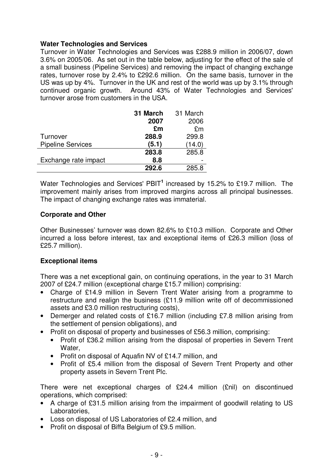## **Water Technologies and Services**

Turnover in Water Technologies and Services was £288.9 million in 2006/07, down 3.6% on 2005/06. As set out in the table below, adjusting for the effect of the sale of a small business (Pipeline Services) and removing the impact of changing exchange rates, turnover rose by 2.4% to £292.6 million. On the same basis, turnover in the US was up by 4%. Turnover in the UK and rest of the world was up by 3.1% through continued organic growth. Around 43% of Water Technologies and Services' turnover arose from customers in the USA.

|                          | 31 March | 31 March |
|--------------------------|----------|----------|
|                          | 2007     | 2006     |
|                          | £m       | £m       |
| Turnover                 | 288.9    | 299.8    |
| <b>Pipeline Services</b> | (5.1)    | (14.0)   |
|                          | 283.8    | 285.8    |
| Exchange rate impact     | 8.8      |          |
|                          | 292.6    | 285 R    |

Water Technologies and Services' PBIT<sup>1</sup> increased by 15.2% to £19.7 million. The improvement mainly arises from improved margins across all principal businesses. The impact of changing exchange rates was immaterial.

# **Corporate and Other**

Other Businesses' turnover was down 82.6% to £10.3 million. Corporate and Other incurred a loss before interest, tax and exceptional items of £26.3 million (loss of £25.7 million).

# **Exceptional items**

There was a net exceptional gain, on continuing operations, in the year to 31 March 2007 of £24.7 million (exceptional charge £15.7 million) comprising:

- Charge of £14.9 million in Severn Trent Water arising from a programme to restructure and realign the business (£11.9 million write off of decommissioned assets and £3.0 million restructuring costs),
- Demerger and related costs of £16.7 million (including £7.8 million arising from the settlement of pension obligations), and
- Profit on disposal of property and businesses of £56.3 million, comprising:
	- Profit of £36.2 million arising from the disposal of properties in Severn Trent Water,
	- Profit on disposal of Aquafin NV of £14.7 million, and
	- Profit of £5.4 million from the disposal of Severn Trent Property and other property assets in Severn Trent Plc.

There were net exceptional charges of £24.4 million (£nil) on discontinued operations, which comprised:

- A charge of £31.5 million arising from the impairment of goodwill relating to US Laboratories,
- Loss on disposal of US Laboratories of £2.4 million, and
- Profit on disposal of Biffa Belgium of £9.5 million.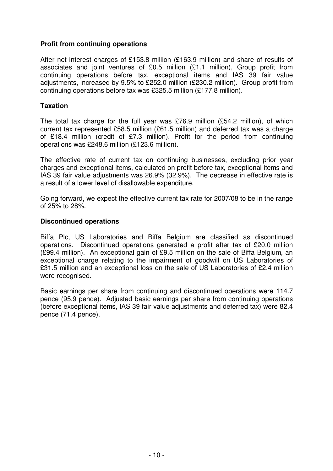# **Profit from continuing operations**

After net interest charges of £153.8 million (£163.9 million) and share of results of associates and joint ventures of £0.5 million (£1.1 million), Group profit from continuing operations before tax, exceptional items and IAS 39 fair value adjustments, increased by 9.5% to £252.0 million (£230.2 million). Group profit from continuing operations before tax was £325.5 million (£177.8 million).

## **Taxation**

The total tax charge for the full year was £76.9 million (£54.2 million), of which current tax represented £58.5 million (£61.5 million) and deferred tax was a charge of £18.4 million (credit of £7.3 million). Profit for the period from continuing operations was £248.6 million (£123.6 million).

The effective rate of current tax on continuing businesses, excluding prior year charges and exceptional items, calculated on profit before tax, exceptional items and IAS 39 fair value adjustments was 26.9% (32.9%). The decrease in effective rate is a result of a lower level of disallowable expenditure.

Going forward, we expect the effective current tax rate for 2007/08 to be in the range of 25% to 28%.

## **Discontinued operations**

Biffa Plc, US Laboratories and Biffa Belgium are classified as discontinued operations. Discontinued operations generated a profit after tax of £20.0 million (£99.4 million). An exceptional gain of £9.5 million on the sale of Biffa Belgium, an exceptional charge relating to the impairment of goodwill on US Laboratories of £31.5 million and an exceptional loss on the sale of US Laboratories of £2.4 million were recognised.

Basic earnings per share from continuing and discontinued operations were 114.7 pence (95.9 pence). Adjusted basic earnings per share from continuing operations (before exceptional items, IAS 39 fair value adjustments and deferred tax) were 82.4 pence (71.4 pence).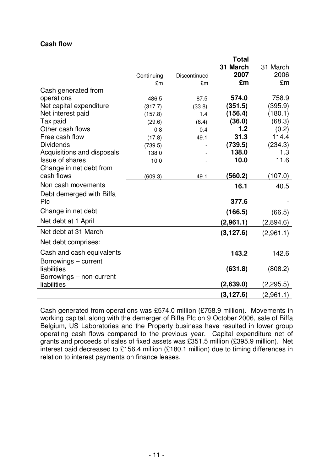## **Cash flow**

|                            |            |              | <b>Total</b> |            |
|----------------------------|------------|--------------|--------------|------------|
|                            |            |              | 31 March     | 31 March   |
|                            | Continuing | Discontinued | 2007         | 2006       |
|                            | £m         | £m           | £m           | £m         |
| Cash generated from        |            |              |              |            |
| operations                 | 486.5      | 87.5         | 574.0        | 758.9      |
| Net capital expenditure    | (317.7)    | (33.8)       | (351.5)      | (395.9)    |
| Net interest paid          | (157.8)    | 1.4          | (156.4)      | (180.1)    |
| Tax paid                   | (29.6)     | (6.4)        | (36.0)       | (68.3)     |
| Other cash flows           | 0.8        | 0.4          | 1.2          | (0.2)      |
| Free cash flow             | (17.8)     | 49.1         | 31.3         | 114.4      |
| <b>Dividends</b>           | (739.5)    |              | (739.5)      | (234.3)    |
| Acquisitions and disposals | 138.0      |              | 138.0        | 1.3        |
| <b>Issue of shares</b>     | 10.0       |              | 10.0         | 11.6       |
| Change in net debt from    |            |              |              |            |
| cash flows                 | (609.3)    | 49.1         | (560.2)      | (107.0)    |
| Non cash movements         |            |              | 16.1         | 40.5       |
| Debt demerged with Biffa   |            |              |              |            |
| Plc                        |            |              | 377.6        |            |
| Change in net debt         |            |              | (166.5)      | (66.5)     |
| Net debt at 1 April        |            |              | (2,961.1)    | (2,894.6)  |
| Net debt at 31 March       |            |              | (3, 127.6)   | (2,961.1)  |
| Net debt comprises:        |            |              |              |            |
| Cash and cash equivalents  |            |              | 143.2        | 142.6      |
| Borrowings - current       |            |              |              |            |
| liabilities                |            |              | (631.8)      | (808.2)    |
| Borrowings - non-current   |            |              |              |            |
| liabilities                |            |              | (2,639.0)    | (2, 295.5) |
|                            |            |              | (3, 127.6)   | (2,961.1)  |

Cash generated from operations was £574.0 million (£758.9 million). Movements in working capital, along with the demerger of Biffa Plc on 9 October 2006, sale of Biffa Belgium, US Laboratories and the Property business have resulted in lower group operating cash flows compared to the previous year. Capital expenditure net of grants and proceeds of sales of fixed assets was £351.5 million (£395.9 million). Net interest paid decreased to £156.4 million (£180.1 million) due to timing differences in relation to interest payments on finance leases.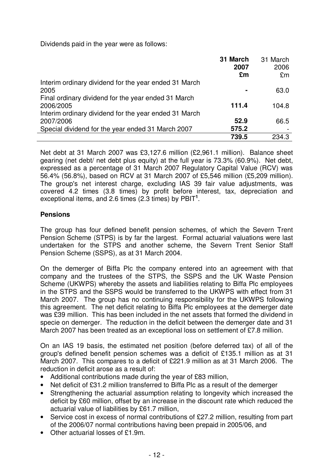Dividends paid in the year were as follows:

|                                                       | 31 March<br>2007<br>£m | 31 March<br>2006<br>£m |
|-------------------------------------------------------|------------------------|------------------------|
| Interim ordinary dividend for the year ended 31 March |                        |                        |
| 2005                                                  |                        | 63.0                   |
| Final ordinary dividend for the year ended 31 March   |                        |                        |
| 2006/2005                                             | 111.4                  | 104.8                  |
| Interim ordinary dividend for the year ended 31 March |                        |                        |
| 2007/2006                                             | 52.9                   | 66.5                   |
| Special dividend for the year ended 31 March 2007     | 575.2                  |                        |
|                                                       | 739.5                  | 234.3                  |

Net debt at 31 March 2007 was £3,127.6 million (£2,961.1 million). Balance sheet gearing (net debt/ net debt plus equity) at the full year is 73.3% (60.9%). Net debt, expressed as a percentage of 31 March 2007 Regulatory Capital Value (RCV) was 56.4% (56.8%), based on RCV at 31 March 2007 of £5,546 million (£5,209 million). The group's net interest charge, excluding IAS 39 fair value adjustments, was covered 4.2 times (3.8 times) by profit before interest, tax, depreciation and exceptional items, and 2.6 times (2.3 times) by PBIT **1** .

# **Pensions**

The group has four defined benefit pension schemes, of which the Severn Trent Pension Scheme (STPS) is by far the largest. Formal actuarial valuations were last undertaken for the STPS and another scheme, the Severn Trent Senior Staff Pension Scheme (SSPS), as at 31 March 2004.

On the demerger of Biffa Plc the company entered into an agreement with that company and the trustees of the STPS, the SSPS and the UK Waste Pension Scheme (UKWPS) whereby the assets and liabilities relating to Biffa Plc employees in the STPS and the SSPS would be transferred to the UKWPS with effect from 31 March 2007. The group has no continuing responsibility for the UKWPS following this agreement. The net deficit relating to Biffa Plc employees at the demerger date was £39 million. This has been included in the net assets that formed the dividend in specie on demerger. The reduction in the deficit between the demerger date and 31 March 2007 has been treated as an exceptional loss on settlement of £7.8 million.

On an IAS 19 basis, the estimated net position (before deferred tax) of all of the group's defined benefit pension schemes was a deficit of £135.1 million as at 31 March 2007. This compares to a deficit of £221.9 million as at 31 March 2006. The reduction in deficit arose as a result of:

- Additional contributions made during the year of £83 million,
- Net deficit of £31.2 million transferred to Biffa Plc as a result of the demerger
- Strengthening the actuarial assumption relating to longevity which increased the deficit by £60 million, offset by an increase in the discount rate which reduced the actuarial value of liabilities by £61.7 million,
- Service cost in excess of normal contributions of £27.2 million, resulting from part of the 2006/07 normal contributions having been prepaid in 2005/06, and
- Other actuarial losses of £1.9m.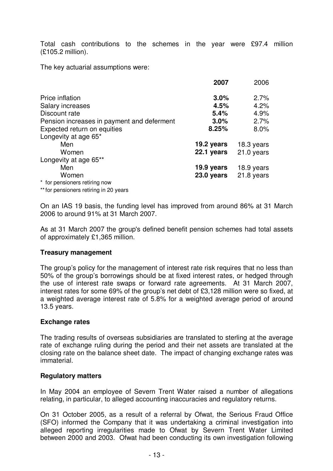Total cash contributions to the schemes in the year were £97.4 million (£105.2 million).

The key actuarial assumptions were:

|                                            | 2007       | 2006         |
|--------------------------------------------|------------|--------------|
| Price inflation                            | 3.0%       | 2.7%         |
| Salary increases                           | 4.5%       | 4.2%         |
| Discount rate                              | 5.4%       | 4.9%         |
| Pension increases in payment and deferment | 3.0%       | 2.7%         |
| Expected return on equities                | 8.25%      | 8.0%         |
| Longevity at age 65*                       |            |              |
| Men                                        | 19.2 years | 18.3 years   |
| Women                                      | 22.1 years | $21.0$ years |
| Longevity at age 65**                      |            |              |
| Men                                        | 19.9 years | 18.9 years   |
| Women                                      | 23.0 years | 21.8 years   |
| * for pensioners retiring now              |            |              |
| ** for pensioners retiring in 20 years     |            |              |

On an IAS 19 basis, the funding level has improved from around 86% at 31 March 2006 to around 91% at 31 March 2007.

As at 31 March 2007 the group's defined benefit pension schemes had total assets of approximately £1,365 million.

## **Treasury management**

The group's policy for the management of interest rate risk requires that no less than 50% of the group's borrowings should be at fixed interest rates, or hedged through the use of interest rate swaps or forward rate agreements. At 31 March 2007, interest rates for some 69% of the group's net debt of £3,128 million were so fixed, at a weighted average interest rate of 5.8% for a weighted average period of around 13.5 years.

## **Exchange rates**

The trading results of overseas subsidiaries are translated to sterling at the average rate of exchange ruling during the period and their net assets are translated at the closing rate on the balance sheet date. The impact of changing exchange rates was immaterial.

## **Regulatory matters**

In May 2004 an employee of Severn Trent Water raised a number of allegations relating, in particular, to alleged accounting inaccuracies and regulatory returns.

On 31 October 2005, as a result of a referral by Ofwat, the Serious Fraud Office (SFO) informed the Company that it was undertaking a criminal investigation into alleged reporting irregularities made to Ofwat by Severn Trent Water Limited between 2000 and 2003. Ofwat had been conducting its own investigation following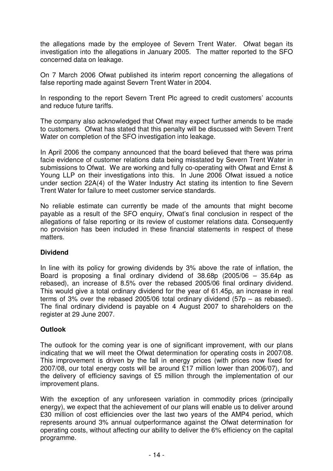the allegations made by the employee of Severn Trent Water. Ofwat began its investigation into the allegations in January 2005. The matter reported to the SFO concerned data on leakage.

On 7 March 2006 Ofwat published its interim report concerning the allegations of false reporting made against Severn Trent Water in 2004.

In responding to the report Severn Trent Plc agreed to credit customers' accounts and reduce future tariffs.

The company also acknowledged that Ofwat may expect further amends to be made to customers. Ofwat has stated that this penalty will be discussed with Severn Trent Water on completion of the SFO investigation into leakage.

In April 2006 the company announced that the board believed that there was prima facie evidence of customer relations data being misstated by Severn Trent Water in submissions to Ofwat. We are working and fully co-operating with Ofwat and Ernst & Young LLP on their investigations into this. In June 2006 Ofwat issued a notice under section 22A(4) of the Water Industry Act stating its intention to fine Severn Trent Water for failure to meet customer service standards.

No reliable estimate can currently be made of the amounts that might become payable as a result of the SFO enquiry, Ofwat's final conclusion in respect of the allegations of false reporting or its review of customer relations data. Consequently no provision has been included in these financial statements in respect of these matters.

# **Dividend**

In line with its policy for growing dividends by 3% above the rate of inflation, the Board is proposing a final ordinary dividend of 38.68p (2005/06 – 35.64p as rebased), an increase of 8.5% over the rebased 2005/06 final ordinary dividend. This would give a total ordinary dividend for the year of 61.45p, an increase in real terms of 3% over the rebased 2005/06 total ordinary dividend (57p – as rebased). The final ordinary dividend is payable on 4 August 2007 to shareholders on the register at 29 June 2007.

## **Outlook**

The outlook for the coming year is one of significant improvement, with our plans indicating that we will meet the Ofwat determination for operating costs in 2007/08. This improvement is driven by the fall in energy prices (with prices now fixed for 2007/08, our total energy costs will be around £17 million lower than 2006/07), and the delivery of efficiency savings of £5 million through the implementation of our improvement plans.

With the exception of any unforeseen variation in commodity prices (principally energy), we expect that the achievement of our plans will enable us to deliver around £30 million of cost efficiencies over the last two years of the AMP4 period, which represents around 3% annual outperformance against the Ofwat determination for operating costs, without affecting our ability to deliver the 6% efficiency on the capital programme.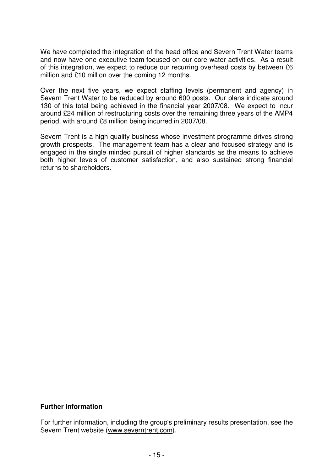We have completed the integration of the head office and Severn Trent Water teams and now have one executive team focused on our core water activities. As a result of this integration, we expect to reduce our recurring overhead costs by between £6 million and £10 million over the coming 12 months.

Over the next five years, we expect staffing levels (permanent and agency) in Severn Trent Water to be reduced by around 600 posts. Our plans indicate around 130 of this total being achieved in the financial year 2007/08. We expect to incur around £24 million of restructuring costs over the remaining three years of the AMP4 period, with around £8 million being incurred in 2007/08.

Severn Trent is a high quality business whose investment programme drives strong growth prospects. The management team has a clear and focused strategy and is engaged in the single minded pursuit of higher standards as the means to achieve both higher levels of customer satisfaction, and also sustained strong financial returns to shareholders.

## **Further information**

For further information, including the group's preliminary results presentation, see the Severn Trent website (www.severntrent.com).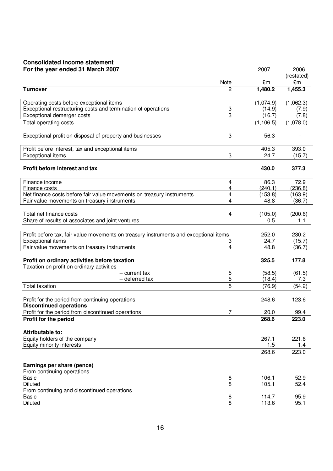# **Consolidated income statement**

| For the year ended 31 March 2007                                                           |           | 2007          | 2006             |
|--------------------------------------------------------------------------------------------|-----------|---------------|------------------|
|                                                                                            |           |               | (restated)       |
| <b>Turnover</b>                                                                            | Note<br>2 | £m<br>1,480.2 | £m<br>1,455.3    |
|                                                                                            |           |               |                  |
| Operating costs before exceptional items                                                   |           | (1,074.9)     | (1,062.3)        |
| Exceptional restructuring costs and termination of operations                              | 3         | (14.9)        | (7.9)            |
| Exceptional demerger costs                                                                 | 3         | (16.7)        | (7.8)            |
| Total operating costs                                                                      |           | (1, 106.5)    | (1,078.0)        |
| Exceptional profit on disposal of property and businesses                                  | 3         | 56.3          |                  |
| Profit before interest, tax and exceptional items                                          |           | 405.3         | 393.0            |
| <b>Exceptional items</b>                                                                   | 3         | 24.7          | (15.7)           |
| Profit before interest and tax                                                             |           | 430.0         | 377.3            |
| Finance income                                                                             | 4         | 86.3          | 72.9             |
| Finance costs                                                                              | 4         | (240.1)       | (236.8)          |
| Net finance costs before fair value movements on treasury instruments                      | 4         | (153.8)       | (163.9)          |
| Fair value movements on treasury instruments                                               | 4         | 48.8          | (36.7)           |
| Total net finance costs                                                                    | 4         | (105.0)       | (200.6)          |
| Share of results of associates and joint ventures                                          |           | 0.5           | 1.1              |
|                                                                                            |           |               |                  |
| Profit before tax, fair value movements on treasury instruments and exceptional items      |           | 252.0         | 230.2            |
| <b>Exceptional items</b><br>Fair value movements on treasury instruments                   | 3<br>4    | 24.7<br>48.8  | (15.7)<br>(36.7) |
|                                                                                            |           |               |                  |
| Profit on ordinary activities before taxation<br>Taxation on profit on ordinary activities |           | 325.5         | 177.8            |
| – current tax                                                                              | 5         | (58.5)        | (61.5)           |
| - deferred tax                                                                             | 5         | (18.4)        | 7.3              |
| <b>Total taxation</b>                                                                      | 5         | (76.9)        | (54.2)           |
| Profit for the period from continuing operations<br><b>Discontinued operations</b>         |           | 248.6         | 123.6            |
| Profit for the period from discontinued operations                                         | 7         | 20.0          | 99.4             |
| Profit for the period                                                                      |           | 268.6         | 223.0            |
| Attributable to:                                                                           |           |               |                  |
| Equity holders of the company                                                              |           | 267.1         | 221.6            |
| Equity minority interests                                                                  |           | 1.5           | 1.4              |
|                                                                                            |           | 268.6         | 223.0            |
| Earnings per share (pence)                                                                 |           |               |                  |
| From continuing operations                                                                 |           |               |                  |
| <b>Basic</b>                                                                               | 8         | 106.1         | 52.9             |
| <b>Diluted</b>                                                                             | 8         | 105.1         | 52.4             |
| From continuing and discontinued operations                                                |           |               |                  |
| <b>Basic</b>                                                                               | 8         | 114.7         | 95.9             |
| Diluted                                                                                    | 8         | 113.6         | 95.1             |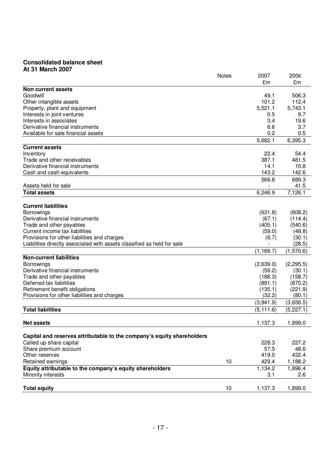## **Consolidated balance sheet At 31 March 2007**

|                                                                         | <b>Notes</b> | 2007       | 2006       |
|-------------------------------------------------------------------------|--------------|------------|------------|
|                                                                         |              | £m         | £m         |
| Non current assets                                                      |              |            |            |
| Goodwill                                                                |              | 49.1       | 506.3      |
| Other intangible assets                                                 |              | 101.2      | 112.4      |
| Property, plant and equipment                                           |              | 5,521.1    | 5,743.1    |
| Interests in joint ventures                                             |              | 0.5        | 9.7        |
| Interests in associates                                                 |              | 3.4        | 19.6       |
| Derivative financial instruments                                        |              | 6.6        | 3.7        |
| Available for sale financial assets                                     |              | 0.2        | 0.5        |
|                                                                         |              | 5,682.1    | 6,395.3    |
| <b>Current assets</b>                                                   |              |            |            |
| Inventory                                                               |              | 22.4       | 54.4       |
| Trade and other receivables                                             |              | 387.1      | 481.5      |
| Derivative financial instruments                                        |              | 14.1       | 10.8       |
| Cash and cash equivalents                                               |              | 143.2      | 142.6      |
|                                                                         |              |            |            |
|                                                                         |              | 566.8      | 689.3      |
| Assets held for sale                                                    |              |            | 41.5       |
| <b>Total assets</b>                                                     |              | 6,248.9    | 7,126.1    |
|                                                                         |              |            |            |
| <b>Current liabilities</b>                                              |              |            |            |
| Borrowings                                                              |              | (631.8)    | (808.2)    |
| Derivative financial instruments                                        |              | (67.1)     | (114.4)    |
| Trade and other payables                                                |              | (405.1)    | (540.6)    |
| Current income tax liabilities                                          |              | (59.0)     | (48.8)     |
| Provisions for other liabilities and charges                            |              | (6.7)      | (30.1)     |
| Liabilities directly associated with assets classified as held for sale |              |            | (28.5)     |
|                                                                         |              | (1, 169.7) | (1,570.6)  |
| <b>Non-current liabilities</b>                                          |              |            |            |
| Borrowings                                                              |              | (2,639.0)  | (2, 295.5) |
| Derivative financial instruments                                        |              | (56.2)     | (30.1)     |
| Trade and other payables                                                |              | (188.3)    | (158.7)    |
| Deferred tax liabilities                                                |              | (891.1)    | (870.2)    |
| Retirement benefit obligations                                          |              | (135.1)    | (221.9)    |
| Provisions for other liabilities and charges                            |              | (32.2)     | (80.1)     |
|                                                                         |              | (3,941.9)  | (3,656.5)  |
| <b>Total liabilities</b>                                                |              | (5, 111.6) | (5, 227.1) |
|                                                                         |              |            |            |
|                                                                         |              |            |            |
| <b>Net assets</b>                                                       |              | 1,137.3    | 1,899.0    |
|                                                                         |              |            |            |
| Capital and reserves attributable to the company's equity shareholders  |              |            |            |
| Called up share capital                                                 |              | 228.3      | 227.2      |
| Share premium account                                                   |              | 57.5       | 48.6       |
| Other reserves                                                          |              | 419.0      | 432.4      |
| Retained earnings                                                       | 10           | 429.4      | 1,188.2    |
| Equity attributable to the company's equity shareholders                |              | 1,134.2    | 1,896.4    |
| Minority interests                                                      |              | 3.1        | 2.6        |
|                                                                         |              |            |            |
| <b>Total equity</b>                                                     | 10           | 1,137.3    | 1,899.0    |
|                                                                         |              |            |            |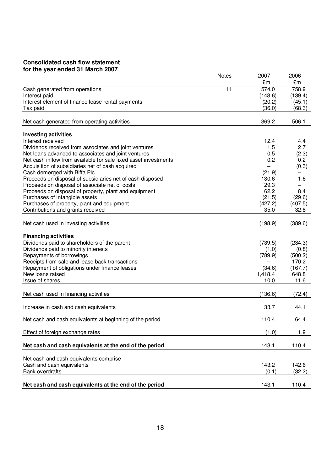## **Consolidated cash flow statement for the year ended 31 March 2007**

|                                                                                 | Notes | 2007            | 2006            |
|---------------------------------------------------------------------------------|-------|-----------------|-----------------|
|                                                                                 |       | £m              | £m              |
| Cash generated from operations                                                  | 11    | 574.0           | 758.9           |
| Interest paid                                                                   |       | (148.6)         | (139.4)         |
| Interest element of finance lease rental payments                               |       | (20.2)          | (45.1)          |
| Tax paid                                                                        |       | (36.0)          | (68.3)          |
| Net cash generated from operating activities                                    |       | 369.2           | 506.1           |
| <b>Investing activities</b>                                                     |       |                 |                 |
| Interest received                                                               |       | 12.4            | 4.4             |
| Dividends received from associates and joint ventures                           |       | 1.5             | 2.7             |
| Net loans advanced to associates and joint ventures                             |       | 0.5             | (2.3)           |
| Net cash inflow from available for sale fixed asset investments                 |       | 0.2             | 0.2             |
| Acquisition of subsidiaries net of cash acquired                                |       |                 | (0.3)           |
| Cash demerged with Biffa Plc                                                    |       | (21.9)          |                 |
| Proceeds on disposal of subsidiaries net of cash disposed                       |       | 130.6           | 1.6             |
| Proceeds on disposal of associate net of costs                                  |       | 29.3            |                 |
| Proceeds on disposal of property, plant and equipment                           |       | 62.2            | 8.4             |
| Purchases of intangible assets                                                  |       | (21.5)          | (29.6)          |
| Purchases of property, plant and equipment<br>Contributions and grants received |       | (427.2)<br>35.0 | (407.5)<br>32.8 |
|                                                                                 |       |                 |                 |
| Net cash used in investing activities                                           |       | (198.9)         | (389.6)         |
| <b>Financing activities</b>                                                     |       |                 |                 |
| Dividends paid to shareholders of the parent                                    |       | (739.5)         | (234.3)         |
| Dividends paid to minority interests                                            |       | (1.0)           | (0.8)           |
| Repayments of borrowings                                                        |       | (789.9)         | (500.2)         |
| Receipts from sale and lease back transactions                                  |       |                 | 170.2           |
| Repayment of obligations under finance leases                                   |       | (34.6)          | (167.7)         |
| New loans raised                                                                |       | 1,418.4         | 648.8           |
| Issue of shares                                                                 |       | 10.0            | 11.6            |
| Net cash used in financing activities                                           |       | (136.6)         | (72.4)          |
| Increase in cash and cash equivalents                                           |       | 33.7            | 44.1            |
| Net cash and cash equivalents at beginning of the period                        |       | 110.4           | 64.4            |
|                                                                                 |       |                 |                 |
| Effect of foreign exchange rates                                                |       | (1.0)           | 1.9             |
| Net cash and cash equivalents at the end of the period                          |       | 143.1           | 110.4           |
| Net cash and cash equivalents comprise                                          |       |                 |                 |
| Cash and cash equivalents                                                       |       | 143.2           | 142.6           |
| <b>Bank overdrafts</b>                                                          |       | (0.1)           | (32.2)          |
| Net cash and cash equivalents at the end of the period                          |       | 143.1           | 110.4           |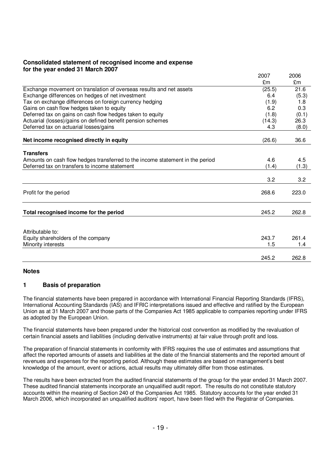## **Consolidated statement of recognised income and expense for the year ended 31 March 2007**

|                                                                               | 2007   | 2006  |
|-------------------------------------------------------------------------------|--------|-------|
|                                                                               | £m     | £m    |
| Exchange movement on translation of overseas results and net assets           | (25.5) | 21.6  |
| Exchange differences on hedges of net investment                              | 6.4    | (5.3) |
| Tax on exchange differences on foreign currency hedging                       | (1.9)  | 1.8   |
| Gains on cash flow hedges taken to equity                                     | 6.2    | 0.3   |
| Deferred tax on gains on cash flow hedges taken to equity                     | (1.8)  | (0.1) |
| Actuarial (losses)/gains on defined benefit pension schemes                   | (14.3) | 26.3  |
| Deferred tax on actuarial losses/gains                                        | 4.3    | (8.0) |
|                                                                               |        |       |
| Net income recognised directly in equity                                      | (26.6) | 36.6  |
|                                                                               |        |       |
| <b>Transfers</b>                                                              |        |       |
| Amounts on cash flow hedges transferred to the income statement in the period | 4.6    | 4.5   |
| Deferred tax on transfers to income statement                                 | (1.4)  | (1.3) |
|                                                                               | 3.2    | 3.2   |
|                                                                               |        |       |
| Profit for the period                                                         | 268.6  | 223.0 |
|                                                                               |        |       |
|                                                                               |        |       |
| Total recognised income for the period                                        | 245.2  | 262.8 |
|                                                                               |        |       |
| Attributable to:                                                              |        |       |
| Equity shareholders of the company                                            | 243.7  | 261.4 |
| Minority interests                                                            | 1.5    | 1.4   |
|                                                                               |        |       |
|                                                                               | 245.2  | 262.8 |

### **Notes**

## **1 Basis of preparation**

The financial statements have been prepared in accordance with International Financial Reporting Standards (IFRS), International Accounting Standards (IAS) and IFRIC interpretations issued and effective and ratified by the European Union as at 31 March 2007 and those parts of the Companies Act 1985 applicable to companies reporting under IFRS as adopted by the European Union.

The financial statements have been prepared under the historical cost convention as modified by the revaluation of certain financial assets and liabilities (including derivative instruments) at fair value through profit and loss.

The preparation of financial statements in conformity with IFRS requires the use of estimates and assumptions that affect the reported amounts of assets and liabilities at the date of the financial statements and the reported amount of revenues and expenses for the reporting period. Although these estimates are based on management's best knowledge of the amount, event or actions, actual results may ultimately differ from those estimates.

The results have been extracted from the audited financial statements of the group for the year ended 31 March 2007. These audited financial statements incorporate an unqualified audit report. The results do not constitute statutory accounts within the meaning of Section 240 of the Companies Act 1985. Statutory accounts for the year ended 31 March 2006, which incorporated an unqualified auditors' report, have been filed with the Registrar of Companies.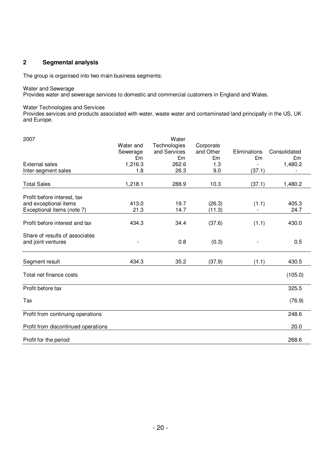## **2 Segmental analysis**

The group is organised into two main business segments:

#### Water and Sewerage

Provides water and sewerage services to domestic and commercial customers in England and Wales.

### Water Technologies and Services

Provides services and products associated with water, waste water and contaminated land principally in the US, UK and Europe.

| 2007                                |           | Water        |           |              |              |
|-------------------------------------|-----------|--------------|-----------|--------------|--------------|
|                                     | Water and | Technologies | Corporate |              |              |
|                                     | Sewerage  | and Services | and Other | Eliminations | Consolidated |
|                                     | £m        | £m           | £m        | £m           | £m           |
| External sales                      | 1,216.3   | 262.6        | 1.3       |              | 1,480.2      |
| Inter-segment sales                 | 1.8       | 26.3         | 9.0       | (37.1)       |              |
| <b>Total Sales</b>                  | 1,218.1   | 288.9        | 10.3      | (37.1)       | 1,480.2      |
| Profit before interest, tax         |           |              |           |              |              |
| and exceptional items               | 413.0     | 19.7         | (26.3)    | (1.1)        | 405.3        |
| Exceptional items (note 7)          | 21.3      | 14.7         | (11.3)    |              | 24.7         |
| Profit before interest and tax      | 434.3     | 34.4         | (37.6)    | (1.1)        | 430.0        |
| Share of results of associates      |           |              |           |              |              |
| and joint ventures                  |           | 0.8          | (0.3)     |              | 0.5          |
| Segment result                      | 434.3     | 35.2         | (37.9)    | (1.1)        | 430.5        |
| Total net finance costs             |           |              |           |              | (105.0)      |
| Profit before tax                   |           |              |           |              | 325.5        |
| Tax                                 |           |              |           |              | (76.9)       |
| Profit from continuing operations   |           |              |           |              | 248.6        |
| Profit from discontinued operations |           |              |           |              | 20.0         |
| Profit for the period               |           |              |           |              | 268.6        |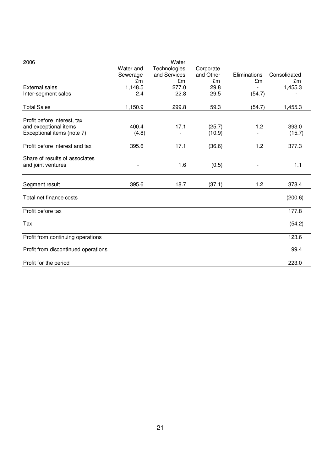| 2006                                |           | Water        |           |              |              |
|-------------------------------------|-----------|--------------|-----------|--------------|--------------|
|                                     | Water and | Technologies | Corporate |              |              |
|                                     | Sewerage  | and Services | and Other | Eliminations | Consolidated |
|                                     | £m        | £m           | £m        | £m           | £m           |
| <b>External sales</b>               | 1,148.5   | 277.0        | 29.8      |              | 1,455.3      |
| Inter-segment sales                 | 2.4       | 22.8         | 29.5      | (54.7)       |              |
| <b>Total Sales</b>                  | 1,150.9   | 299.8        | 59.3      | (54.7)       | 1,455.3      |
|                                     |           |              |           |              |              |
| Profit before interest, tax         | 400.4     | 17.1         |           | 1.2          |              |
| and exceptional items               |           |              | (25.7)    |              | 393.0        |
| Exceptional items (note 7)          | (4.8)     |              | (10.9)    |              | (15.7)       |
| Profit before interest and tax      | 395.6     | 17.1         | (36.6)    | 1.2          | 377.3        |
| Share of results of associates      |           |              |           |              |              |
| and joint ventures                  |           | 1.6          | (0.5)     |              | 1.1          |
| Segment result                      | 395.6     | 18.7         | (37.1)    | 1.2          | 378.4        |
| Total net finance costs             |           |              |           |              | (200.6)      |
| Profit before tax                   |           |              |           |              | 177.8        |
| Tax                                 |           |              |           |              | (54.2)       |
| Profit from continuing operations   |           |              |           |              | 123.6        |
| Profit from discontinued operations |           |              |           |              | 99.4         |
| Profit for the period               |           |              |           |              | 223.0        |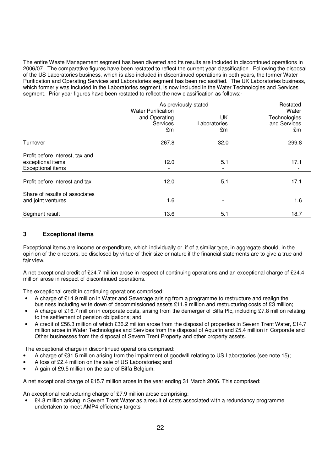The entire Waste Management segment has been divested and its results are included in discontinued operations in 2006/07. The comparative figures have been restated to reflect the current year classification. Following the disposal of the US Laboratories business, which is also included in discontinued operations in both years, the former Water Purification and Operating Services and Laboratories segment has been reclassified. The UK Laboratories business, which formerly was included in the Laboratories segment, is now included in the Water Technologies and Services segment. Prior year figures have been restated to reflect the new classification as follows:-

|                                                                                  | As previously stated                                         | Restated                 |                                             |
|----------------------------------------------------------------------------------|--------------------------------------------------------------|--------------------------|---------------------------------------------|
|                                                                                  | <b>Water Purification</b><br>and Operating<br>Services<br>£m | UK<br>Laboratories<br>£m | Water<br>Technologies<br>and Services<br>£m |
| Turnover                                                                         | 267.8                                                        | 32.0                     | 299.8                                       |
| Profit before interest, tax and<br>exceptional items<br><b>Exceptional items</b> | 12.0                                                         | 5.1                      | 17.1                                        |
| Profit before interest and tax                                                   | 12.0                                                         | 5.1                      | 17.1                                        |
| Share of results of associates<br>and joint ventures                             | 1.6                                                          |                          | 1.6                                         |
| Segment result                                                                   | 13.6                                                         | 5.1                      | 18.7                                        |

## **3 Exceptional items**

Exceptional items are income or expenditure, which individually or, if of a similar type, in aggregate should, in the opinion of the directors, be disclosed by virtue of their size or nature if the financial statements are to give a true and fair view.

A net exceptional credit of £24.7 million arose in respect of continuing operations and an exceptional charge of £24.4 million arose in respect of discontinued operations.

The exceptional credit in continuing operations comprised:

- A charge of £14.9 million in Water and Sewerage arising from a programme to restructure and realign the business including write down of decommissioned assets £11.9 million and restructuring costs of £3 million;
- A charge of £16.7 million in corporate costs, arising from the demerger of Biffa Plc, including £7.8 million relating to the settlement of pension obligations; and
- A credit of £56.3 million of which £36.2 million arose from the disposal of properties in Severn Trent Water, £14.7 million arose in Water Technologies and Services from the disposal of Aquafin and £5.4 million in Corporate and Other businesses from the disposal of Severn Trent Property and other property assets.

The exceptional charge in discontinued operations comprised:

- A charge of £31.5 million arising from the impairment of goodwill relating to US Laboratories (see note 15);
- A loss of £2.4 million on the sale of US Laboratories; and
- A gain of £9.5 million on the sale of Biffa Belgium.

A net exceptional charge of £15.7 million arose in the year ending 31 March 2006. This comprised:

An exceptional restructuring charge of £7.9 million arose comprising:

• £4.8 million arising in Severn Trent Water as a result of costs associated with a redundancy programme undertaken to meet AMP4 efficiency targets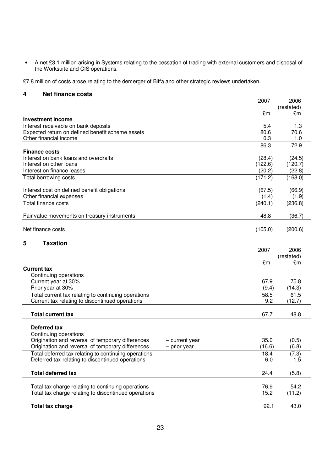• A net £3.1 million arising in Systems relating to the cessation of trading with external customers and disposal of the Worksuite and CIS operations.

£7.8 million of costs arose relating to the demerger of Biffa and other strategic reviews undertaken.

## **4 Net finance costs**

|                                                                                                          | 2007          | 2006             |
|----------------------------------------------------------------------------------------------------------|---------------|------------------|
|                                                                                                          | £m            | (restated)<br>£m |
| <b>Investment income</b>                                                                                 |               |                  |
| Interest receivable on bank deposits                                                                     | 5.4           | 1.3              |
| Expected return on defined benefit scheme assets                                                         | 80.6          | 70.6             |
| Other financial income                                                                                   | 0.3           | 1.0              |
| <b>Finance costs</b>                                                                                     | 86.3          | 72.9             |
| Interest on bank loans and overdrafts                                                                    | (28.4)        | (24.5)           |
| Interest on other loans                                                                                  | (122.6)       | (120.7)          |
| Interest on finance leases                                                                               | (20.2)        | (22.8)           |
| Total borrowing costs                                                                                    | (171.2)       | (168.0)          |
| Interest cost on defined benefit obligations                                                             | (67.5)        | (66.9)           |
| Other financial expenses                                                                                 | (1.4)         | (1.9)            |
| <b>Total finance costs</b>                                                                               | (240.1)       | (236.8)          |
| Fair value movements on treasury instruments                                                             | 48.8          | (36.7)           |
| Net finance costs                                                                                        | (105.0)       | (200.6)          |
| <b>Taxation</b><br>5                                                                                     |               |                  |
|                                                                                                          | 2007          | 2006             |
|                                                                                                          |               | (restated)       |
|                                                                                                          | £m            | £m               |
| <b>Current tax</b>                                                                                       |               |                  |
| Continuing operations                                                                                    |               |                  |
| Current year at 30%                                                                                      | 67.9<br>(9.4) | 75.8<br>(14.3)   |
| Prior year at 30%<br>Total current tax relating to continuing operations                                 | 58.5          | 61.5             |
| Current tax relating to discontinued operations                                                          | 9.2           | (12.7)           |
|                                                                                                          |               |                  |
| <b>Total current tax</b>                                                                                 | 67.7          | 48.8             |
| Deferred tax                                                                                             |               |                  |
| Continuing operations                                                                                    |               |                  |
| Origination and reversal of temporary differences<br>- current year                                      | 35.0          | (0.5)            |
| Origination and reversal of temporary differences<br>- prior year                                        | (16.6)        | (6.8)            |
| Total deferred tax relating to continuing operations<br>Deferred tax relating to discontinued operations | 18.4<br>6.0   | (7.3)<br>1.5     |
|                                                                                                          |               |                  |
| <b>Total deferred tax</b>                                                                                | 24.4          | (5.8)            |
| Total tax charge relating to continuing operations                                                       | 76.9          | 54.2             |
| Total tax charge relating to discontinued operations                                                     | 15.2          | (11.2)           |
| <b>Total tax charge</b>                                                                                  | 92.1          | 43.0             |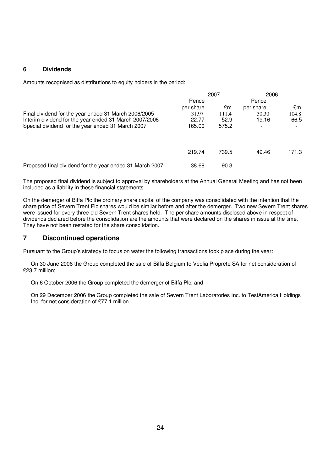## **6 Dividends**

Amounts recognised as distributions to equity holders in the period:

|                                                          | 2007      |       | 2006      |       |
|----------------------------------------------------------|-----------|-------|-----------|-------|
|                                                          | Pence     |       | Pence     |       |
|                                                          | per share | £m    | per share | £m    |
| Final dividend for the year ended 31 March 2006/2005     | 31.97     | 111.4 | 30.30     | 104.8 |
| Interim dividend for the year ended 31 March 2007/2006   | 22.77     | 52.9  | 19.16     | 66.5  |
| Special dividend for the year ended 31 March 2007        | 165.00    | 575.2 |           |       |
|                                                          | 219.74    | 739.5 | 49.46     | 171.3 |
| Proposed final dividend for the year ended 31 March 2007 | 38.68     | 90.3  |           |       |

The proposed final dividend is subject to approval by shareholders at the Annual General Meeting and has not been included as a liability in these financial statements.

On the demerger of Biffa Plc the ordinary share capital of the company was consolidated with the intention that the share price of Severn Trent Plc shares would be similar before and after the demerger. Two new Severn Trent shares were issued for every three old Severn Trent shares held. The per share amounts disclosed above in respect of dividends declared before the consolidation are the amounts that were declared on the shares in issue at the time. They have not been restated for the share consolidation.

## **7 Discontinued operations**

Pursuant to the Group's strategy to focus on water the following transactions took place during the year:

On 30 June 2006 the Group completed the sale of Biffa Belgium to Veolia Proprete SA for net consideration of £23.7 million;

On 6 October 2006 the Group completed the demerger of Biffa Plc; and

On 29 December 2006 the Group completed the sale of Severn Trent Laboratories Inc. to TestAmerica Holdings Inc. for net consideration of £77.1 million.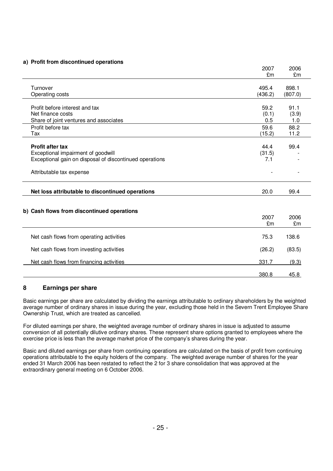### **a) Profit from discontinued operations**

|                                                                                                                                                      | 2007<br>£m            | 2006<br>£m           |
|------------------------------------------------------------------------------------------------------------------------------------------------------|-----------------------|----------------------|
| Turnover<br>Operating costs                                                                                                                          | 495.4<br>(436.2)      | 898.1<br>(807.0)     |
| Profit before interest and tax<br>Net finance costs<br>Share of joint ventures and associates                                                        | 59.2<br>(0.1)<br>0.5  | 91.1<br>(3.9)<br>1.0 |
| Profit before tax<br>Tax                                                                                                                             | 59.6<br>(15.2)        | 88.2<br>11.2         |
| <b>Profit after tax</b><br>Exceptional impairment of goodwill<br>Exceptional gain on disposal of discontinued operations<br>Attributable tax expense | 44.4<br>(31.5)<br>7.1 | 99.4                 |
| Net loss attributable to discontinued operations                                                                                                     | 20.0                  | 99.4                 |
| b) Cash flows from discontinued operations                                                                                                           | 2007<br>£m            | 2006<br>£m           |
| Net cash flows from operating activities                                                                                                             | 75.3                  | 138.6                |
| Net cash flows from investing activities                                                                                                             | (26.2)                | (83.5)               |
| Net cash flows from financing activities                                                                                                             | 331.7                 | (9.3)                |
|                                                                                                                                                      | 380.8                 | 45.8                 |

## **8 Earnings per share**

Basic earnings per share are calculated by dividing the earnings attributable to ordinary shareholders by the weighted average number of ordinary shares in issue during the year, excluding those held in the Severn Trent Employee Share Ownership Trust, which are treated as cancelled.

For diluted earnings per share, the weighted average number of ordinary shares in issue is adjusted to assume conversion of all potentially dilutive ordinary shares. These represent share options granted to employees where the exercise price is less than the average market price of the company's shares during the year.

Basic and diluted earnings per share from continuing operations are calculated on the basis of profit from continuing operations attributable to the equity holders of the company. The weighted average number of shares for the year ended 31 March 2006 has been restated to reflect the 2 for 3 share consolidation that was approved at the extraordinary general meeting on 6 October 2006.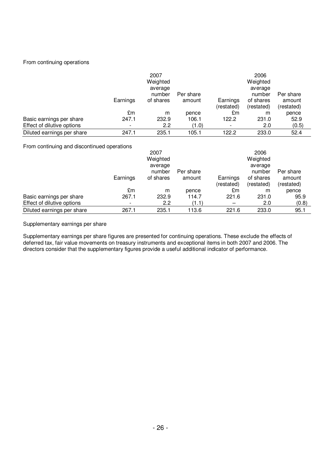### From continuing operations

|                            | Earnings                 | 2007<br>Weighted<br>average<br>number<br>of shares | Per share<br>amount | Earnings<br>(restated) | 2006<br>Weighted<br>average<br>number<br>of shares<br>(restated) | Per share<br>amount<br>(restated) |
|----------------------------|--------------------------|----------------------------------------------------|---------------------|------------------------|------------------------------------------------------------------|-----------------------------------|
|                            | £m                       | m                                                  | pence               | £m                     | m                                                                | pence                             |
| Basic earnings per share   | 247.1                    | 232.9                                              | 106.1               | 122.2                  | 231.0                                                            | 52.9                              |
| Effect of dilutive options | $\overline{\phantom{a}}$ | 2.2                                                | (1.0)               |                        | 2.0                                                              | (0.5)                             |
| Diluted earnings per share | 247.1                    | 235.1                                              | 105.1               | 122.2                  | 233.0                                                            | 52.4                              |

From continuing and discontinued operations

|                            |          | 2007      |           |            | 2006       |            |
|----------------------------|----------|-----------|-----------|------------|------------|------------|
|                            |          | Weighted  |           |            | Weighted   |            |
|                            |          | average   |           |            | average    |            |
|                            |          | number    | Per share |            | number     | Per share  |
|                            | Earnings | of shares | amount    | Earnings   | of shares  | amount     |
|                            |          |           |           | (restated) | (restated) | (restated) |
|                            | £m       | m         | pence     | £m         | m          | pence      |
| Basic earnings per share   | 267.1    | 232.9     | 114.7     | 221.6      | 231.0      | 95.9       |
| Effect of dilutive options |          | 2.2       | (1.1)     |            | 2.0        | (0.8)      |
| Diluted earnings per share | 267.1    | 235.1     | 113.6     | 221.6      | 233.0      | 95.1       |

Supplementary earnings per share

Supplementary earnings per share figures are presented for continuing operations. These exclude the effects of deferred tax, fair value movements on treasury instruments and exceptional items in both 2007 and 2006. The directors consider that the supplementary figures provide a useful additional indicator of performance.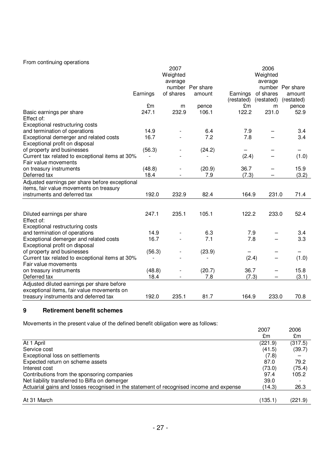### From continuing operations

|                                                                         |          | 2007      |                  |            | 2006       |                  |
|-------------------------------------------------------------------------|----------|-----------|------------------|------------|------------|------------------|
|                                                                         |          | Weighted  |                  |            | Weighted   |                  |
|                                                                         |          | average   |                  |            | average    |                  |
|                                                                         |          |           | number Per share |            |            | number Per share |
|                                                                         | Earnings | of shares | amount           | Earnings   | of shares  | amount           |
|                                                                         |          |           |                  | (restated) | (restated) | (restated)       |
|                                                                         | £m       | m         | pence            | £m         | m          | pence            |
| Basic earnings per share                                                | 247.1    | 232.9     | 106.1            | 122.2      | 231.0      | 52.9             |
| Effect of:                                                              |          |           |                  |            |            |                  |
| Exceptional restructuring costs                                         |          |           |                  |            |            |                  |
| and termination of operations                                           | 14.9     |           | 6.4              | 7.9        |            | 3.4              |
| Exceptional demerger and related costs                                  | 16.7     |           | 7.2              | 7.8        |            | 3.4              |
| Exceptional profit on disposal                                          |          |           |                  |            |            |                  |
| of property and businesses                                              | (56.3)   |           | (24.2)           |            |            |                  |
| Current tax related to exceptional items at 30%                         |          |           |                  | (2.4)      |            | (1.0)            |
| Fair value movements                                                    |          |           |                  |            |            |                  |
| on treasury instruments                                                 | (48.8)   |           | (20.9)           | 36.7       |            | 15.9             |
| Deferred tax                                                            | 18.4     |           | 7.9              | (7.3)      |            | (3.2)            |
| Adjusted earnings per share before exceptional                          |          |           |                  |            |            |                  |
| items, fair value movements on treasury                                 |          |           |                  |            |            |                  |
| instruments and deferred tax                                            | 192.0    | 232.9     | 82.4             | 164.9      | 231.0      | 71.4             |
|                                                                         |          |           |                  |            |            |                  |
|                                                                         |          |           |                  |            |            |                  |
| Diluted earnings per share                                              | 247.1    | 235.1     | 105.1            | 122.2      | 233.0      | 52.4             |
| Effect of:                                                              |          |           |                  |            |            |                  |
| Exceptional restructuring costs                                         | 14.9     |           |                  | 7.9        |            |                  |
| and termination of operations                                           |          |           | 6.3<br>7.1       |            |            | 3.4              |
| Exceptional demerger and related costs                                  | 16.7     |           |                  | 7.8        |            | 3.3              |
| Exceptional profit on disposal                                          |          |           |                  |            |            |                  |
| of property and businesses                                              | (56.3)   |           | (23.9)           |            |            |                  |
| Current tax related to exceptional items at 30%<br>Fair value movements |          |           |                  | (2.4)      |            | (1.0)            |
|                                                                         |          |           |                  | 36.7       |            | 15.8             |
| on treasury instruments                                                 | (48.8)   |           | (20.7)           |            |            |                  |
| Deferred tax                                                            | 18.4     |           | 7.8              | (7.3)      |            | (3.1)            |
| Adjusted diluted earnings per share before                              |          |           |                  |            |            |                  |
| exceptional items, fair value movements on                              |          |           |                  |            |            |                  |
| treasury instruments and deferred tax                                   | 192.0    | 235.1     | 81.7             | 164.9      | 233.0      | 70.8             |

# **9 Retirement benefit schemes**

Movements in the present value of the defined benefit obligation were as follows:

| $\cdots$                                                                                | 2007    | 2006    |
|-----------------------------------------------------------------------------------------|---------|---------|
|                                                                                         | £m      | £m      |
| At 1 April                                                                              | (221.9) | (317.5) |
| Service cost                                                                            | (41.5)  | (39.7)  |
| Exceptional loss on settlements                                                         | (7.8)   |         |
| Expected return on scheme assets                                                        | 87.0    | 79.2    |
| Interest cost                                                                           | (73.0)  | (75.4)  |
| Contributions from the sponsoring companies                                             | 97.4    | 105.2   |
| Net liability transferred to Biffa on demerger                                          | 39.0    |         |
| Actuarial gains and losses recognised in the statement of recognised income and expense | (14.3)  | 26.3    |
|                                                                                         |         |         |
| At 31 March                                                                             | (135.1) | (221.9) |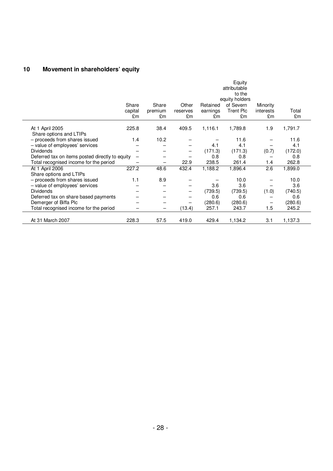# **10 Movement in shareholders' equity**

|                                                 | Share<br>capital<br>£m | Share<br>premium<br>£m | Other<br>reserves<br>£m | Retained<br>earnings<br>£m | Equity<br>attributable<br>to the<br>equity holders<br>of Severn<br><b>Trent Plc</b><br>£m | Minority<br>interests<br>£m | Total<br>£m |
|-------------------------------------------------|------------------------|------------------------|-------------------------|----------------------------|-------------------------------------------------------------------------------------------|-----------------------------|-------------|
|                                                 |                        |                        |                         |                            |                                                                                           |                             |             |
| At 1 April 2005<br>Share options and LTIPs      | 225.8                  | 38.4                   | 409.5                   | 1,116.1                    | 1,789.8                                                                                   | 1.9                         | 1,791.7     |
| - proceeds from shares issued                   | 1.4                    | 10.2                   |                         |                            | 11.6                                                                                      |                             | 11.6        |
| - value of employees' services                  |                        |                        |                         | 4.1                        | 4.1                                                                                       |                             | 4.1         |
| <b>Dividends</b>                                |                        |                        |                         | (171.3)                    | (171.3)                                                                                   | (0.7)                       | (172.0)     |
| Deferred tax on items posted directly to equity |                        |                        |                         | 0.8                        | 0.8                                                                                       |                             | 0.8         |
| Total recognised income for the period          |                        |                        | 22.9                    | 238.5                      | 261.4                                                                                     | 1.4                         | 262.8       |
| At 1 April 2006                                 | 227.2                  | 48.6                   | 432.4                   | 1,188.2                    | 1,896.4                                                                                   | 2.6                         | 1,899.0     |
| Share options and LTIPs                         |                        |                        |                         |                            |                                                                                           |                             |             |
| - proceeds from shares issued                   | 1.1                    | 8.9                    |                         |                            | 10.0                                                                                      |                             | 10.0        |
| - value of employees' services                  |                        |                        |                         | 3.6                        | 3.6                                                                                       |                             | 3.6         |
| <b>Dividends</b>                                |                        |                        |                         | (739.5)                    | (739.5)                                                                                   | (1.0)                       | (740.5)     |
| Deferred tax on share based payments            |                        |                        |                         | 0.6                        | 0.6                                                                                       |                             | 0.6         |
| Demerger of Biffa Plc                           |                        |                        |                         | (280.6)                    | (280.6)                                                                                   |                             | (280.6)     |
| Total recognised income for the period          |                        | -                      | (13.4)                  | 257.1                      | 243.7                                                                                     | 1.5                         | 245.2       |
| At 31 March 2007                                | 228.3                  | 57.5                   | 419.0                   | 429.4                      | 1,134.2                                                                                   | 3.1                         | 1,137.3     |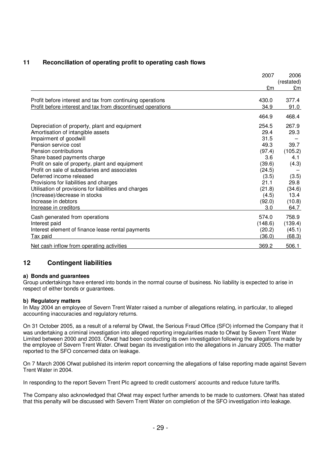## **11 Reconciliation of operating profit to operating cash flows**

|                                                             | 2007    | 2006             |
|-------------------------------------------------------------|---------|------------------|
|                                                             | £m      | (restated)<br>£m |
| Profit before interest and tax from continuing operations   | 430.0   | 377.4            |
| Profit before interest and tax from discontinued operations | 34.9    | 91.0             |
|                                                             | 464.9   | 468.4            |
| Depreciation of property, plant and equipment               | 254.5   | 267.9            |
| Amortisation of intangible assets                           | 29.4    | 29.3             |
| Impairment of goodwill                                      | 31.5    |                  |
| Pension service cost                                        | 49.3    | 39.7             |
| Pension contributions                                       | (97.4)  | (105.2)          |
| Share based payments charge                                 | 3.6     | 4.1              |
| Profit on sale of property, plant and equipment             | (39.6)  | (4.3)            |
| Profit on sale of subsidiaries and associates               | (24.5)  |                  |
| Deferred income released                                    | (3.5)   | (3.5)            |
| Provisions for liabilities and charges                      | 21.1    | 29.8             |
| Utilisation of provisions for liabilities and charges       | (21.8)  | (34.6)           |
| (Increase)/decrease in stocks                               | (4.5)   | 13.4             |
| Increase in debtors                                         | (92.0)  | (10.8)           |
| Increase in creditors                                       | 3.0     | 64.7             |
| Cash generated from operations                              | 574.0   | 758.9            |
| Interest paid                                               | (148.6) | (139.4)          |
| Interest element of finance lease rental payments           | (20.2)  | (45.1)           |
| <b>Tax paid</b>                                             | (36.0)  | (68.3)           |
| Net cash inflow from operating activities                   | 369.2   | 506.1            |

## **12 Contingent liabilities**

### **a) Bonds and guarantees**

Group undertakings have entered into bonds in the normal course of business. No liability is expected to arise in respect of either bonds or guarantees.

### **b) Regulatory matters**

In May 2004 an employee of Severn Trent Water raised a number of allegations relating, in particular, to alleged accounting inaccuracies and regulatory returns.

On 31 October 2005, as a result of a referral by Ofwat, the Serious Fraud Office (SFO) informed the Company that it was undertaking a criminal investigation into alleged reporting irregularities made to Ofwat by Severn Trent Water Limited between 2000 and 2003. Ofwat had been conducting its own investigation following the allegations made by the employee of Severn Trent Water. Ofwat began its investigation into the allegations in January 2005. The matter reported to the SFO concerned data on leakage.

On 7 March 2006 Ofwat published its interim report concerning the allegations of false reporting made against Severn Trent Water in 2004.

In responding to the report Severn Trent Plc agreed to credit customers' accounts and reduce future tariffs.

The Company also acknowledged that Ofwat may expect further amends to be made to customers. Ofwat has stated that this penalty will be discussed with Severn Trent Water on completion of the SFO investigation into leakage.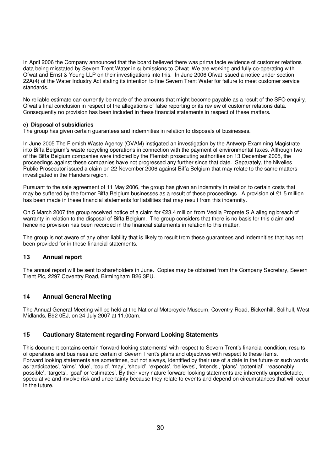In April 2006 the Company announced that the board believed there was prima facie evidence of customer relations data being misstated by Severn Trent Water in submissions to Ofwat. We are working and fully co-operating with Ofwat and Ernst & Young LLP on their investigations into this. In June 2006 Ofwat issued a notice under section 22A(4) of the Water Industry Act stating its intention to fine Severn Trent Water for failure to meet customer service standards.

No reliable estimate can currently be made of the amounts that might become payable as a result of the SFO enquiry, Ofwat's final conclusion in respect of the allegations of false reporting or its review of customer relations data. Consequently no provision has been included in these financial statements in respect of these matters.

### **c) Disposal of subsidiaries**

The group has given certain guarantees and indemnities in relation to disposals of businesses.

In June 2005 The Flemish Waste Agency (OVAM) instigated an investigation by the Antwerp Examining Magistrate into Biffa Belgium's waste recycling operations in connection with the payment of environmental taxes. Although two of the Biffa Belgium companies were indicted by the Flemish prosecuting authorities on 13 December 2005, the proceedings against these companies have not progressed any further since that date. Separately, the Nivelles Public Prosecutor issued a claim on 22 November 2006 against Biffa Belgium that may relate to the same matters investigated in the Flanders region.

Pursuant to the sale agreement of 11 May 2006, the group has given an indemnity in relation to certain costs that may be suffered by the former Biffa Belgium businesses as a result of these proceedings. A provision of £1.5 million has been made in these financial statements for liabilities that may result from this indemnity.

On 5 March 2007 the group received notice of a claim for €23.4 million from Veolia Proprete S.A alleging breach of warranty in relation to the disposal of Biffa Belgium. The group considers that there is no basis for this claim and hence no provision has been recorded in the financial statements in relation to this matter.

The group is not aware of any other liability that is likely to result from these guarantees and indemnities that has not been provided for in these financial statements.

## **13 Annual report**

The annual report will be sent to shareholders in June. Copies may be obtained from the Company Secretary, Severn Trent Plc, 2297 Coventry Road, Birmingham B26 3PU.

## **14 Annual General Meeting**

The Annual General Meeting will be held at the National Motorcycle Museum, Coventry Road, Bickenhill, Solihull, West Midlands, B92 0EJ, on 24 July 2007 at 11.00am.

## **15 Cautionary Statement regarding Forward Looking Statements**

This document contains certain 'forward looking statements' with respect to Severn Trent's financial condition, results of operations and business and certain of Severn Trent's plans and objectives with respect to these items. Forward looking statements are sometimes, but not always, identified by their use of a date in the future or such words as 'anticipates', 'aims', 'due', 'could', 'may', 'should', 'expects', 'believes', 'intends', 'plans', 'potential', 'reasonably possible', 'targets', 'goal' or 'estimates'. By their very nature forward-looking statements are inherently unpredictable, speculative and involve risk and uncertainty because they relate to events and depend on circumstances that will occur in the future.